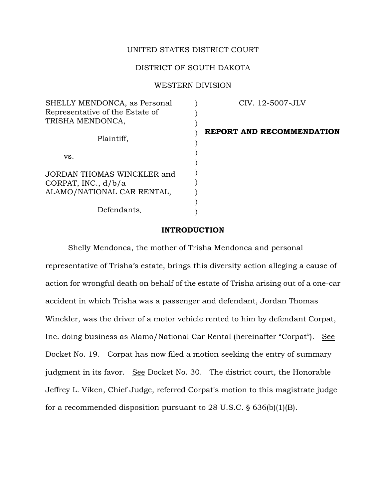# UNITED STATES DISTRICT COURT

## DISTRICT OF SOUTH DAKOTA

### WESTERN DIVISION

| SHELLY MENDONCA, as Personal<br>Representative of the Estate of<br>TRISHA MENDONCA, | CIV. 12-5007-JLV          |
|-------------------------------------------------------------------------------------|---------------------------|
| Plaintiff,                                                                          | REPORT AND RECOMMENDATION |
| VS.                                                                                 |                           |
| JORDAN THOMAS WINCKLER and                                                          |                           |
| CORPAT, INC., $d/b/a$<br>ALAMO/NATIONAL CAR RENTAL,                                 |                           |
| Defendants.                                                                         |                           |

### **INTRODUCTION**

Shelly Mendonca, the mother of Trisha Mendonca and personal representative of Trisha's estate, brings this diversity action alleging a cause of action for wrongful death on behalf of the estate of Trisha arising out of a one-car accident in which Trisha was a passenger and defendant, Jordan Thomas Winckler, was the driver of a motor vehicle rented to him by defendant Corpat, Inc. doing business as Alamo/National Car Rental (hereinafter "Corpat"). See Docket No. 19. Corpat has now filed a motion seeking the entry of summary judgment in its favor. See Docket No. 30. The district court, the Honorable Jeffrey L. Viken, Chief Judge, referred Corpat's motion to this magistrate judge for a recommended disposition pursuant to 28 U.S.C.  $\S$  636(b)(1)(B).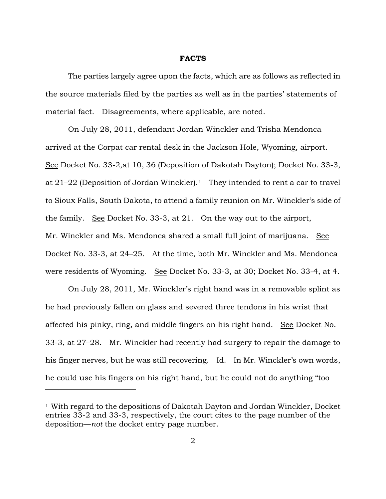#### **FACTS**

The parties largely agree upon the facts, which are as follows as reflected in the source materials filed by the parties as well as in the parties' statements of material fact. Disagreements, where applicable, are noted.

On July 28, 2011, defendant Jordan Winckler and Trisha Mendonca arrived at the Corpat car rental desk in the Jackson Hole, Wyoming, airport. See Docket No. 33-2,at 10, 36 (Deposition of Dakotah Dayton); Docket No. 33-3, at  $21-22$  (Deposition of Jordan Winckler).<sup>1</sup> They intended to rent a car to travel to Sioux Falls, South Dakota, to attend a family reunion on Mr. Winckler's side of the family. See Docket No. 33-3, at 21. On the way out to the airport, Mr. Winckler and Ms. Mendonca shared a small full joint of marijuana. See Docket No. 33-3, at 24–25. At the time, both Mr. Winckler and Ms. Mendonca were residents of Wyoming. See Docket No. 33-3, at 30; Docket No. 33-4, at 4.

On July 28, 2011, Mr. Winckler's right hand was in a removable splint as he had previously fallen on glass and severed three tendons in his wrist that affected his pinky, ring, and middle fingers on his right hand. See Docket No. 33-3, at 27–28. Mr. Winckler had recently had surgery to repair the damage to his finger nerves, but he was still recovering. Id. In Mr. Winckler's own words, he could use his fingers on his right hand, but he could not do anything "too

<sup>1</sup> With regard to the depositions of Dakotah Dayton and Jordan Winckler, Docket entries 33-2 and 33-3, respectively, the court cites to the page number of the deposition—*not* the docket entry page number.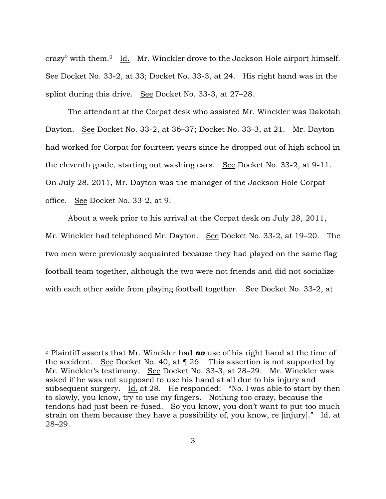crazy" with them.2 Id. Mr. Winckler drove to the Jackson Hole airport himself. See Docket No. 33-2, at 33; Docket No. 33-3, at 24. His right hand was in the splint during this drive. See Docket No. 33-3, at 27–28.

The attendant at the Corpat desk who assisted Mr. Winckler was Dakotah Dayton. See Docket No. 33-2, at 36–37; Docket No. 33-3, at 21. Mr. Dayton had worked for Corpat for fourteen years since he dropped out of high school in the eleventh grade, starting out washing cars. See Docket No. 33-2, at 9-11. On July 28, 2011, Mr. Dayton was the manager of the Jackson Hole Corpat office. See Docket No. 33-2, at 9.

About a week prior to his arrival at the Corpat desk on July 28, 2011, Mr. Winckler had telephoned Mr. Dayton. See Docket No. 33-2, at 19–20. The two men were previously acquainted because they had played on the same flag football team together, although the two were not friends and did not socialize with each other aside from playing football together. See Docket No. 33-2, at

<sup>2</sup> Plaintiff asserts that Mr. Winckler had *no* use of his right hand at the time of the accident. See Docket No. 40, at ¶ 26. This assertion is not supported by Mr. Winckler's testimony. See Docket No. 33-3, at 28–29. Mr. Winckler was asked if he was not supposed to use his hand at all due to his injury and subsequent surgery. Id. at 28. He responded: "No. I was able to start by then to slowly, you know, try to use my fingers. Nothing too crazy, because the tendons had just been re-fused. So you know, you don't want to put too much strain on them because they have a possibility of, you know, re [injury]." Id. at 28–29.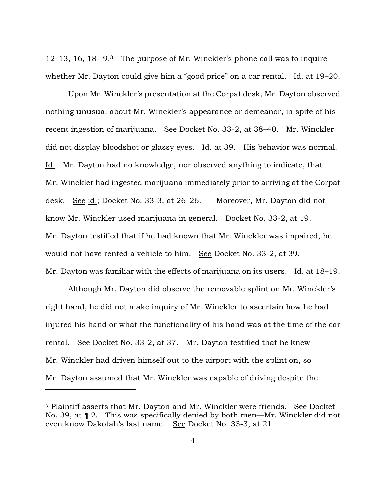12–13, 16, 18-–9.<sup>3</sup> The purpose of Mr. Winckler's phone call was to inquire whether Mr. Dayton could give him a "good price" on a car rental. Id. at 19–20.

Upon Mr. Winckler's presentation at the Corpat desk, Mr. Dayton observed nothing unusual about Mr. Winckler's appearance or demeanor, in spite of his recent ingestion of marijuana. See Docket No. 33-2, at 38–40. Mr. Winckler did not display bloodshot or glassy eyes. Id. at 39. His behavior was normal. Id. Mr. Dayton had no knowledge, nor observed anything to indicate, that Mr. Winckler had ingested marijuana immediately prior to arriving at the Corpat desk. See id.; Docket No. 33-3, at 26–26. Moreover, Mr. Dayton did not know Mr. Winckler used marijuana in general. Docket No. 33-2, at 19. Mr. Dayton testified that if he had known that Mr. Winckler was impaired, he would not have rented a vehicle to him. See Docket No. 33-2, at 39. Mr. Dayton was familiar with the effects of marijuana on its users. Id. at 18–19.

Although Mr. Dayton did observe the removable splint on Mr. Winckler's right hand, he did not make inquiry of Mr. Winckler to ascertain how he had injured his hand or what the functionality of his hand was at the time of the car rental. See Docket No. 33-2, at 37. Mr. Dayton testified that he knew Mr. Winckler had driven himself out to the airport with the splint on, so Mr. Dayton assumed that Mr. Winckler was capable of driving despite the

<sup>&</sup>lt;sup>3</sup> Plaintiff asserts that Mr. Dayton and Mr. Winckler were friends. See Docket No. 39, at ¶ 2. This was specifically denied by both men—Mr. Winckler did not even know Dakotah's last name. See Docket No. 33-3, at 21.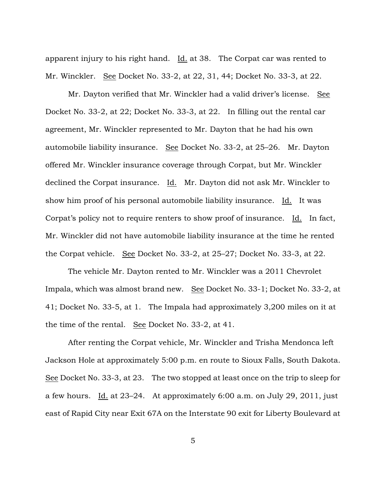apparent injury to his right hand. Id. at 38. The Corpat car was rented to Mr. Winckler. See Docket No. 33-2, at 22, 31, 44; Docket No. 33-3, at 22.

Mr. Dayton verified that Mr. Winckler had a valid driver's license. See Docket No. 33-2, at 22; Docket No. 33-3, at 22. In filling out the rental car agreement, Mr. Winckler represented to Mr. Dayton that he had his own automobile liability insurance. See Docket No. 33-2, at 25–26. Mr. Dayton offered Mr. Winckler insurance coverage through Corpat, but Mr. Winckler declined the Corpat insurance. Id. Mr. Dayton did not ask Mr. Winckler to show him proof of his personal automobile liability insurance. Id. It was Corpat's policy not to require renters to show proof of insurance. Id. In fact, Mr. Winckler did not have automobile liability insurance at the time he rented the Corpat vehicle. See Docket No. 33-2, at 25–27; Docket No. 33-3, at 22.

The vehicle Mr. Dayton rented to Mr. Winckler was a 2011 Chevrolet Impala, which was almost brand new. See Docket No. 33-1; Docket No. 33-2, at 41; Docket No. 33-5, at 1. The Impala had approximately 3,200 miles on it at the time of the rental. See Docket No. 33-2, at 41.

After renting the Corpat vehicle, Mr. Winckler and Trisha Mendonca left Jackson Hole at approximately 5:00 p.m. en route to Sioux Falls, South Dakota. See Docket No. 33-3, at 23. The two stopped at least once on the trip to sleep for a few hours. Id. at 23–24. At approximately 6:00 a.m. on July 29, 2011, just east of Rapid City near Exit 67A on the Interstate 90 exit for Liberty Boulevard at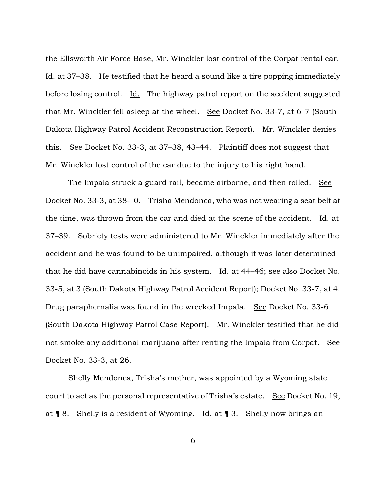the Ellsworth Air Force Base, Mr. Winckler lost control of the Corpat rental car. Id. at 37–38. He testified that he heard a sound like a tire popping immediately before losing control. Id. The highway patrol report on the accident suggested that Mr. Winckler fell asleep at the wheel. See Docket No. 33-7, at 6–7 (South Dakota Highway Patrol Accident Reconstruction Report). Mr. Winckler denies this. See Docket No. 33-3, at 37–38, 43–44. Plaintiff does not suggest that Mr. Winckler lost control of the car due to the injury to his right hand.

The Impala struck a guard rail, became airborne, and then rolled. See Docket No. 33-3, at 38-–0. Trisha Mendonca, who was not wearing a seat belt at the time, was thrown from the car and died at the scene of the accident. Id. at 37–39. Sobriety tests were administered to Mr. Winckler immediately after the accident and he was found to be unimpaired, although it was later determined that he did have cannabinoids in his system. Id. at 44–46; see also Docket No. 33-5, at 3 (South Dakota Highway Patrol Accident Report); Docket No. 33-7, at 4. Drug paraphernalia was found in the wrecked Impala. See Docket No. 33-6 (South Dakota Highway Patrol Case Report). Mr. Winckler testified that he did not smoke any additional marijuana after renting the Impala from Corpat. See Docket No. 33-3, at 26.

Shelly Mendonca, Trisha's mother, was appointed by a Wyoming state court to act as the personal representative of Trisha's estate. See Docket No. 19, at ¶ 8. Shelly is a resident of Wyoming. Id. at ¶ 3. Shelly now brings an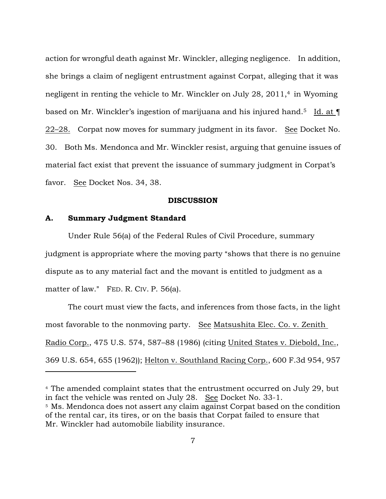action for wrongful death against Mr. Winckler, alleging negligence. In addition, she brings a claim of negligent entrustment against Corpat, alleging that it was negligent in renting the vehicle to Mr. Winckler on July 28, 2011,<sup>4</sup> in Wyoming based on Mr. Winckler's ingestion of marijuana and his injured hand.<sup>5</sup> Id. at ¶ 22–28. Corpat now moves for summary judgment in its favor. See Docket No. 30. Both Ms. Mendonca and Mr. Winckler resist, arguing that genuine issues of material fact exist that prevent the issuance of summary judgment in Corpat's favor. See Docket Nos. 34, 38.

#### **DISCUSSION**

### **A. Summary Judgment Standard**

 $\overline{a}$ 

Under Rule 56(a) of the Federal Rules of Civil Procedure, summary judgment is appropriate where the moving party "shows that there is no genuine dispute as to any material fact and the movant is entitled to judgment as a matter of law." FED. R. CIV. P. 56(a).

The court must view the facts, and inferences from those facts, in the light most favorable to the nonmoving party. See Matsushita Elec. Co. v. Zenith Radio Corp., 475 U.S. 574, 587–88 (1986) (citing United States v. Diebold, Inc., 369 U.S. 654, 655 (1962)); Helton v. Southland Racing Corp., 600 F.3d 954, 957

<sup>4</sup> The amended complaint states that the entrustment occurred on July 29, but in fact the vehicle was rented on July 28. See Docket No. 33-1.

<sup>&</sup>lt;sup>5</sup> Ms. Mendonca does not assert any claim against Corpat based on the condition of the rental car, its tires, or on the basis that Corpat failed to ensure that Mr. Winckler had automobile liability insurance.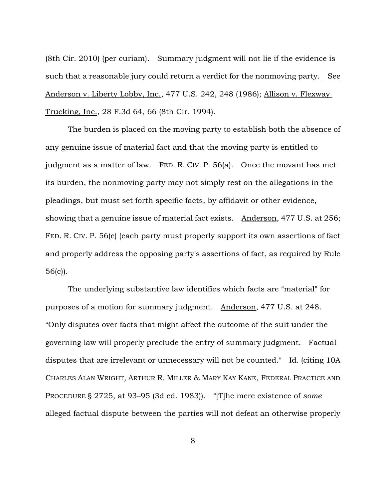(8th Cir. 2010) (per curiam). Summary judgment will not lie if the evidence is such that a reasonable jury could return a verdict for the nonmoving party. See Anderson v. Liberty Lobby, Inc., 477 U.S. 242, 248 (1986); Allison v. Flexway Trucking, Inc., 28 F.3d 64, 66 (8th Cir. 1994).

The burden is placed on the moving party to establish both the absence of any genuine issue of material fact and that the moving party is entitled to judgment as a matter of law. FED. R. CIV. P. 56(a). Once the movant has met its burden, the nonmoving party may not simply rest on the allegations in the pleadings, but must set forth specific facts, by affidavit or other evidence, showing that a genuine issue of material fact exists. Anderson, 477 U.S. at 256; FED. R. CIV. P. 56(e) (each party must properly support its own assertions of fact and properly address the opposing party's assertions of fact, as required by Rule 56(c)).

The underlying substantive law identifies which facts are "material" for purposes of a motion for summary judgment. Anderson, 477 U.S. at 248. "Only disputes over facts that might affect the outcome of the suit under the governing law will properly preclude the entry of summary judgment. Factual disputes that are irrelevant or unnecessary will not be counted." Id. (citing 10A CHARLES ALAN WRIGHT, ARTHUR R. MILLER & MARY KAY KANE, FEDERAL PRACTICE AND PROCEDURE § 2725, at 93–95 (3d ed. 1983)). "[T]he mere existence of *some* alleged factual dispute between the parties will not defeat an otherwise properly

8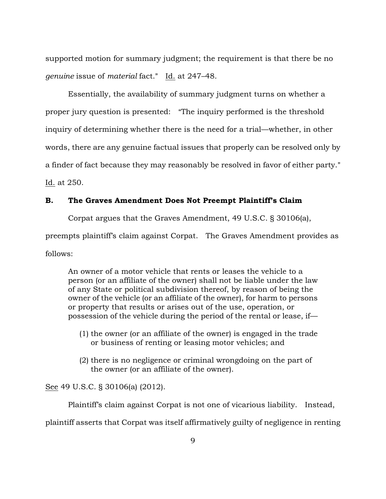supported motion for summary judgment; the requirement is that there be no *genuine* issue of *material* fact." Id. at 247–48.

Essentially, the availability of summary judgment turns on whether a proper jury question is presented: "The inquiry performed is the threshold inquiry of determining whether there is the need for a trial—whether, in other words, there are any genuine factual issues that properly can be resolved only by a finder of fact because they may reasonably be resolved in favor of either party." Id. at 250.

# **B. The Graves Amendment Does Not Preempt Plaintiff's Claim**

Corpat argues that the Graves Amendment, 49 U.S.C. § 30106(a),

preempts plaintiff's claim against Corpat. The Graves Amendment provides as follows:

An owner of a motor vehicle that rents or leases the vehicle to a person (or an affiliate of the owner) shall not be liable under the law of any State or political subdivision thereof, by reason of being the owner of the vehicle (or an affiliate of the owner), for harm to persons or property that results or arises out of the use, operation, or possession of the vehicle during the period of the rental or lease, if—

- (1) the owner (or an affiliate of the owner) is engaged in the trade or business of renting or leasing motor vehicles; and
- (2) there is no negligence or criminal wrongdoing on the part of the owner (or an affiliate of the owner).

See 49 U.S.C. § 30106(a) (2012).

Plaintiff's claim against Corpat is not one of vicarious liability. Instead,

plaintiff asserts that Corpat was itself affirmatively guilty of negligence in renting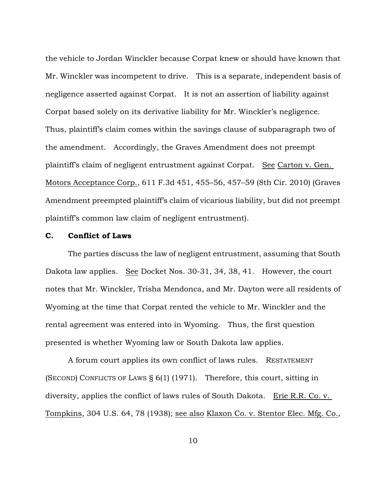the vehicle to Jordan Winckler because Corpat knew or should have known that Mr. Winckler was incompetent to drive. This is a separate, independent basis of negligence asserted against Corpat. It is not an assertion of liability against Corpat based solely on its derivative liability for Mr. Winckler's negligence. Thus, plaintiff's claim comes within the savings clause of subparagraph two of the amendment. Accordingly, the Graves Amendment does not preempt plaintiff's claim of negligent entrustment against Corpat. See Carton v. Gen. Motors Acceptance Corp., 611 F.3d 451, 455–56, 457–59 (8th Cir. 2010) (Graves Amendment preempted plaintiff's claim of vicarious liability, but did not preempt plaintiff's common law claim of negligent entrustment).

### **C. Conflict of Laws**

The parties discuss the law of negligent entrustment, assuming that South Dakota law applies. See Docket Nos. 30-31, 34, 38, 41. However, the court notes that Mr. Winckler, Trisha Mendonca, and Mr. Dayton were all residents of Wyoming at the time that Corpat rented the vehicle to Mr. Winckler and the rental agreement was entered into in Wyoming. Thus, the first question presented is whether Wyoming law or South Dakota law applies.

A forum court applies its own conflict of laws rules. RESTATEMENT (SECOND) CONFLICTS OF LAWS § 6(1) (1971). Therefore, this court, sitting in diversity, applies the conflict of laws rules of South Dakota. Erie R.R. Co. v. Tompkins, 304 U.S. 64, 78 (1938); see also Klaxon Co. v. Stentor Elec. Mfg. Co.,

10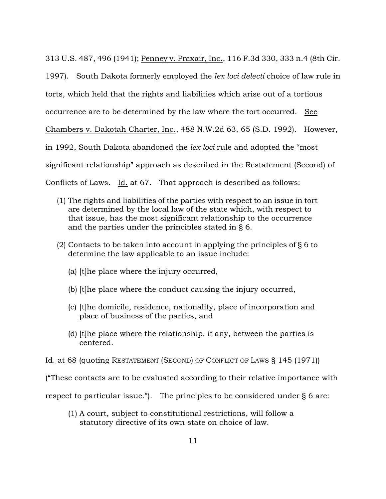313 U.S. 487, 496 (1941); Penney v. Praxair, Inc., 116 F.3d 330, 333 n.4 (8th Cir. 1997). South Dakota formerly employed the *lex loci delecti* choice of law rule in torts, which held that the rights and liabilities which arise out of a tortious occurrence are to be determined by the law where the tort occurred. See Chambers v. Dakotah Charter, Inc., 488 N.W.2d 63, 65 (S.D. 1992). However, in 1992, South Dakota abandoned the *lex loci* rule and adopted the "most significant relationship" approach as described in the Restatement (Second) of Conflicts of Laws. Id. at 67. That approach is described as follows:

- (1) The rights and liabilities of the parties with respect to an issue in tort are determined by the local law of the state which, with respect to that issue, has the most significant relationship to the occurrence and the parties under the principles stated in § 6.
- (2) Contacts to be taken into account in applying the principles of § 6 to determine the law applicable to an issue include:
	- (a) [t]he place where the injury occurred,
	- (b) [t]he place where the conduct causing the injury occurred,
	- (c) [t]he domicile, residence, nationality, place of incorporation and place of business of the parties, and
	- (d) [t]he place where the relationship, if any, between the parties is centered.
- Id. at 68 (quoting RESTATEMENT (SECOND) OF CONFLICT OF LAWS § 145 (1971))

("These contacts are to be evaluated according to their relative importance with

respect to particular issue."). The principles to be considered under § 6 are:

(1) A court, subject to constitutional restrictions, will follow a statutory directive of its own state on choice of law.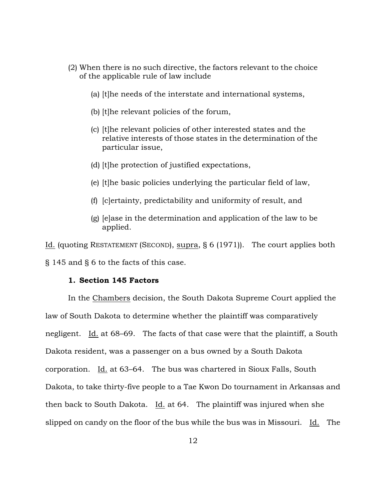- (2) When there is no such directive, the factors relevant to the choice of the applicable rule of law include
	- (a) [t]he needs of the interstate and international systems,
	- (b) [t]he relevant policies of the forum,
	- (c) [t]he relevant policies of other interested states and the relative interests of those states in the determination of the particular issue,
	- (d) [t]he protection of justified expectations,
	- (e) [t]he basic policies underlying the particular field of law,
	- (f) [c]ertainty, predictability and uniformity of result, and
	- (g) [e]ase in the determination and application of the law to be applied.

Id. (quoting RESTATEMENT (SECOND), supra, § 6 (1971)). The court applies both § 145 and § 6 to the facts of this case.

# **1. Section 145 Factors**

In the Chambers decision, the South Dakota Supreme Court applied the law of South Dakota to determine whether the plaintiff was comparatively negligent. Id. at 68–69. The facts of that case were that the plaintiff, a South Dakota resident, was a passenger on a bus owned by a South Dakota corporation. Id. at 63–64. The bus was chartered in Sioux Falls, South Dakota, to take thirty-five people to a Tae Kwon Do tournament in Arkansas and then back to South Dakota. Id. at  $64$ . The plaintiff was injured when she slipped on candy on the floor of the bus while the bus was in Missouri. Id. The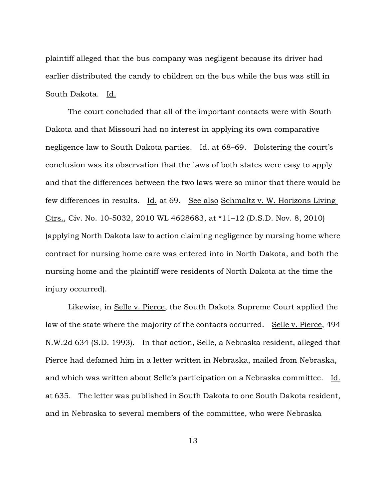plaintiff alleged that the bus company was negligent because its driver had earlier distributed the candy to children on the bus while the bus was still in South Dakota. Id.

The court concluded that all of the important contacts were with South Dakota and that Missouri had no interest in applying its own comparative negligence law to South Dakota parties. Id. at 68–69. Bolstering the court's conclusion was its observation that the laws of both states were easy to apply and that the differences between the two laws were so minor that there would be few differences in results. Id. at 69. See also Schmaltz v. W. Horizons Living Ctrs., Civ. No. 10-5032, 2010 WL 4628683, at \*11–12 (D.S.D. Nov. 8, 2010) (applying North Dakota law to action claiming negligence by nursing home where contract for nursing home care was entered into in North Dakota, and both the nursing home and the plaintiff were residents of North Dakota at the time the injury occurred).

Likewise, in Selle v. Pierce, the South Dakota Supreme Court applied the law of the state where the majority of the contacts occurred. Selle v. Pierce, 494 N.W.2d 634 (S.D. 1993). In that action, Selle, a Nebraska resident, alleged that Pierce had defamed him in a letter written in Nebraska, mailed from Nebraska, and which was written about Selle's participation on a Nebraska committee. Id. at 635. The letter was published in South Dakota to one South Dakota resident, and in Nebraska to several members of the committee, who were Nebraska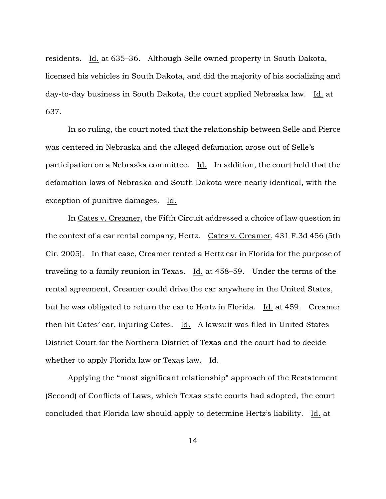residents. Id. at 635–36. Although Selle owned property in South Dakota, licensed his vehicles in South Dakota, and did the majority of his socializing and day-to-day business in South Dakota, the court applied Nebraska law. Id. at 637.

In so ruling, the court noted that the relationship between Selle and Pierce was centered in Nebraska and the alleged defamation arose out of Selle's participation on a Nebraska committee. Id. In addition, the court held that the defamation laws of Nebraska and South Dakota were nearly identical, with the exception of punitive damages. Id.

In Cates v. Creamer, the Fifth Circuit addressed a choice of law question in the context of a car rental company, Hertz. Cates v. Creamer, 431 F.3d 456 (5th Cir. 2005). In that case, Creamer rented a Hertz car in Florida for the purpose of traveling to a family reunion in Texas. Id. at 458–59. Under the terms of the rental agreement, Creamer could drive the car anywhere in the United States, but he was obligated to return the car to Hertz in Florida. Id. at 459. Creamer then hit Cates' car, injuring Cates. Id. A lawsuit was filed in United States District Court for the Northern District of Texas and the court had to decide whether to apply Florida law or Texas law. Id.

Applying the "most significant relationship" approach of the Restatement (Second) of Conflicts of Laws, which Texas state courts had adopted, the court concluded that Florida law should apply to determine Hertz's liability. Id. at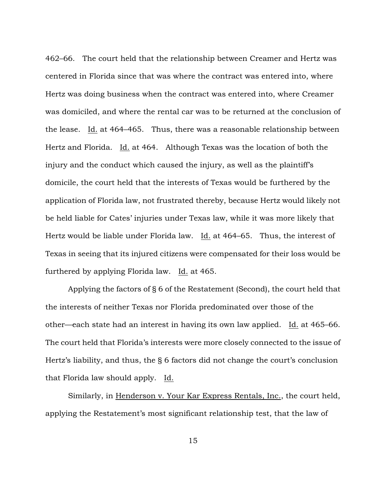462–66. The court held that the relationship between Creamer and Hertz was centered in Florida since that was where the contract was entered into, where Hertz was doing business when the contract was entered into, where Creamer was domiciled, and where the rental car was to be returned at the conclusion of the lease. Id. at  $464-465$ . Thus, there was a reasonable relationship between Hertz and Florida. Id. at 464. Although Texas was the location of both the injury and the conduct which caused the injury, as well as the plaintiff's domicile, the court held that the interests of Texas would be furthered by the application of Florida law, not frustrated thereby, because Hertz would likely not be held liable for Cates' injuries under Texas law, while it was more likely that Hertz would be liable under Florida law. Id. at 464–65. Thus, the interest of Texas in seeing that its injured citizens were compensated for their loss would be furthered by applying Florida law. Id. at 465.

Applying the factors of § 6 of the Restatement (Second), the court held that the interests of neither Texas nor Florida predominated over those of the other—each state had an interest in having its own law applied. Id. at  $465-66$ . The court held that Florida's interests were more closely connected to the issue of Hertz's liability, and thus, the § 6 factors did not change the court's conclusion that Florida law should apply. Id.

Similarly, in Henderson v. Your Kar Express Rentals, Inc., the court held, applying the Restatement's most significant relationship test, that the law of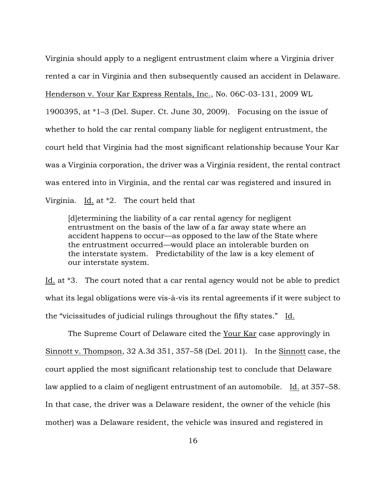Virginia should apply to a negligent entrustment claim where a Virginia driver rented a car in Virginia and then subsequently caused an accident in Delaware. Henderson v. Your Kar Express Rentals, Inc., No. 06C-03-131, 2009 WL 1900395, at \*1–3 (Del. Super. Ct. June 30, 2009). Focusing on the issue of whether to hold the car rental company liable for negligent entrustment, the court held that Virginia had the most significant relationship because Your Kar was a Virginia corporation, the driver was a Virginia resident, the rental contract was entered into in Virginia, and the rental car was registered and insured in Virginia. Id. at  $*2$ . The court held that

[d]etermining the liability of a car rental agency for negligent entrustment on the basis of the law of a far away state where an accident happens to occur—as opposed to the law of the State where the entrustment occurred—would place an intolerable burden on the interstate system. Predictability of the law is a key element of our interstate system.

Id. at \*3. The court noted that a car rental agency would not be able to predict what its legal obligations were vis-à-vis its rental agreements if it were subject to the "vicissitudes of judicial rulings throughout the fifty states." Id.

The Supreme Court of Delaware cited the Your Kar case approvingly in Sinnott v. Thompson, 32 A.3d 351, 357–58 (Del. 2011). In the Sinnott case, the court applied the most significant relationship test to conclude that Delaware law applied to a claim of negligent entrustment of an automobile. Id. at 357–58. In that case, the driver was a Delaware resident, the owner of the vehicle (his mother) was a Delaware resident, the vehicle was insured and registered in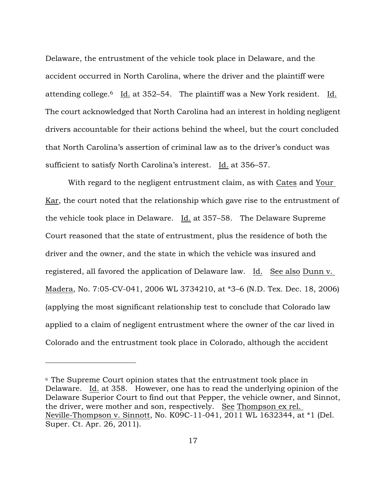Delaware, the entrustment of the vehicle took place in Delaware, and the accident occurred in North Carolina, where the driver and the plaintiff were attending college.<sup>6</sup> Id. at 352–54. The plaintiff was a New York resident. Id. The court acknowledged that North Carolina had an interest in holding negligent drivers accountable for their actions behind the wheel, but the court concluded that North Carolina's assertion of criminal law as to the driver's conduct was sufficient to satisfy North Carolina's interest. Id. at 356–57.

With regard to the negligent entrustment claim, as with Cates and Your Kar, the court noted that the relationship which gave rise to the entrustment of the vehicle took place in Delaware. Id. at 357–58. The Delaware Supreme Court reasoned that the state of entrustment, plus the residence of both the driver and the owner, and the state in which the vehicle was insured and registered, all favored the application of Delaware law. Id. See also Dunn v. Madera, No. 7:05-CV-041, 2006 WL 3734210, at \*3–6 (N.D. Tex. Dec. 18, 2006) (applying the most significant relationship test to conclude that Colorado law applied to a claim of negligent entrustment where the owner of the car lived in Colorado and the entrustment took place in Colorado, although the accident

<sup>6</sup> The Supreme Court opinion states that the entrustment took place in Delaware. Id. at 358. However, one has to read the underlying opinion of the Delaware Superior Court to find out that Pepper, the vehicle owner, and Sinnot, the driver, were mother and son, respectively. See Thompson ex rel. Neville-Thompson v. Sinnott, No. K09C-11-041, 2011 WL 1632344, at \*1 (Del. Super. Ct. Apr. 26, 2011).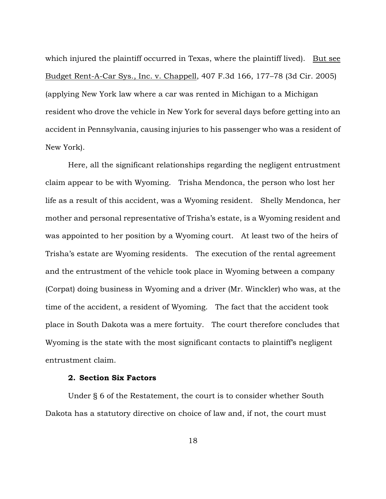which injured the plaintiff occurred in Texas, where the plaintiff lived). But see Budget Rent-A-Car Sys., Inc. v. Chappell, 407 F.3d 166, 177–78 (3d Cir. 2005) (applying New York law where a car was rented in Michigan to a Michigan resident who drove the vehicle in New York for several days before getting into an accident in Pennsylvania, causing injuries to his passenger who was a resident of New York).

Here, all the significant relationships regarding the negligent entrustment claim appear to be with Wyoming. Trisha Mendonca, the person who lost her life as a result of this accident, was a Wyoming resident. Shelly Mendonca, her mother and personal representative of Trisha's estate, is a Wyoming resident and was appointed to her position by a Wyoming court. At least two of the heirs of Trisha's estate are Wyoming residents. The execution of the rental agreement and the entrustment of the vehicle took place in Wyoming between a company (Corpat) doing business in Wyoming and a driver (Mr. Winckler) who was, at the time of the accident, a resident of Wyoming. The fact that the accident took place in South Dakota was a mere fortuity. The court therefore concludes that Wyoming is the state with the most significant contacts to plaintiff's negligent entrustment claim.

# **2. Section Six Factors**

Under § 6 of the Restatement, the court is to consider whether South Dakota has a statutory directive on choice of law and, if not, the court must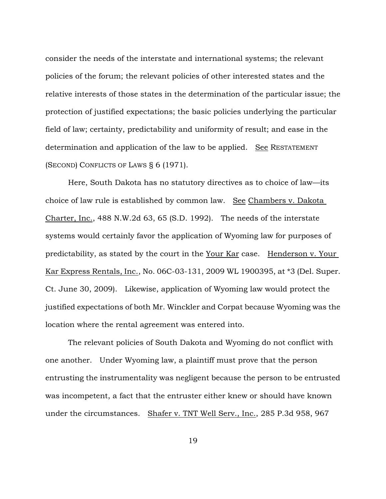consider the needs of the interstate and international systems; the relevant policies of the forum; the relevant policies of other interested states and the relative interests of those states in the determination of the particular issue; the protection of justified expectations; the basic policies underlying the particular field of law; certainty, predictability and uniformity of result; and ease in the determination and application of the law to be applied. See RESTATEMENT (SECOND) CONFLICTS OF LAWS § 6 (1971).

Here, South Dakota has no statutory directives as to choice of law—its choice of law rule is established by common law. See Chambers v. Dakota Charter, Inc., 488 N.W.2d 63, 65 (S.D. 1992). The needs of the interstate systems would certainly favor the application of Wyoming law for purposes of predictability, as stated by the court in the Your Kar case. Henderson v. Your Kar Express Rentals, Inc., No. 06C-03-131, 2009 WL 1900395, at \*3 (Del. Super. Ct. June 30, 2009). Likewise, application of Wyoming law would protect the justified expectations of both Mr. Winckler and Corpat because Wyoming was the location where the rental agreement was entered into.

The relevant policies of South Dakota and Wyoming do not conflict with one another. Under Wyoming law, a plaintiff must prove that the person entrusting the instrumentality was negligent because the person to be entrusted was incompetent, a fact that the entruster either knew or should have known under the circumstances. Shafer v. TNT Well Serv., Inc., 285 P.3d 958, 967

19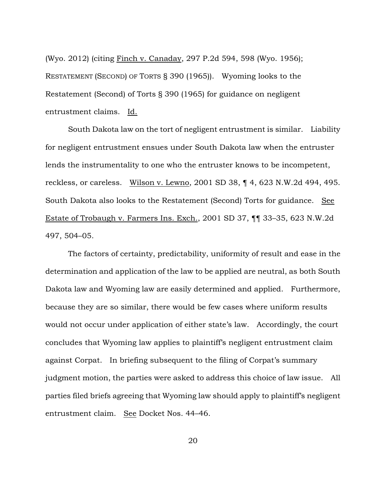(Wyo. 2012) (citing Finch v. Canaday, 297 P.2d 594, 598 (Wyo. 1956); RESTATEMENT (SECOND) OF TORTS § 390 (1965)). Wyoming looks to the Restatement (Second) of Torts § 390 (1965) for guidance on negligent entrustment claims. Id.

South Dakota law on the tort of negligent entrustment is similar. Liability for negligent entrustment ensues under South Dakota law when the entruster lends the instrumentality to one who the entruster knows to be incompetent, reckless, or careless. Wilson v. Lewno, 2001 SD 38, ¶ 4, 623 N.W.2d 494, 495. South Dakota also looks to the Restatement (Second) Torts for guidance. See Estate of Trobaugh v. Farmers Ins. Exch., 2001 SD 37, ¶¶ 33–35, 623 N.W.2d 497, 504–05.

The factors of certainty, predictability, uniformity of result and ease in the determination and application of the law to be applied are neutral, as both South Dakota law and Wyoming law are easily determined and applied. Furthermore, because they are so similar, there would be few cases where uniform results would not occur under application of either state's law. Accordingly, the court concludes that Wyoming law applies to plaintiff's negligent entrustment claim against Corpat. In briefing subsequent to the filing of Corpat's summary judgment motion, the parties were asked to address this choice of law issue. All parties filed briefs agreeing that Wyoming law should apply to plaintiff's negligent entrustment claim. See Docket Nos. 44–46.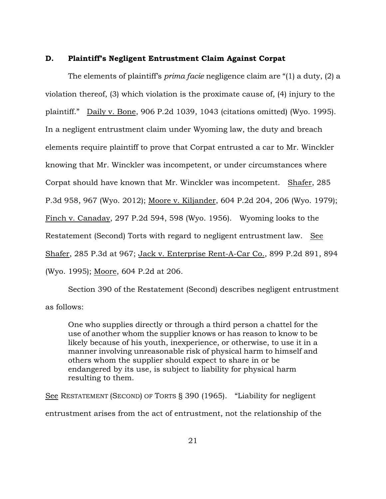### **D. Plaintiff's Negligent Entrustment Claim Against Corpat**

The elements of plaintiff's *prima facie* negligence claim are "(1) a duty, (2) a violation thereof, (3) which violation is the proximate cause of, (4) injury to the plaintiff." Daily v. Bone, 906 P.2d 1039, 1043 (citations omitted) (Wyo. 1995). In a negligent entrustment claim under Wyoming law, the duty and breach elements require plaintiff to prove that Corpat entrusted a car to Mr. Winckler knowing that Mr. Winckler was incompetent, or under circumstances where Corpat should have known that Mr. Winckler was incompetent. Shafer, 285 P.3d 958, 967 (Wyo. 2012); Moore v. Kiljander, 604 P.2d 204, 206 (Wyo. 1979); Finch v. Canaday, 297 P.2d 594, 598 (Wyo. 1956). Wyoming looks to the Restatement (Second) Torts with regard to negligent entrustment law. See Shafer, 285 P.3d at 967; Jack v. Enterprise Rent-A-Car Co., 899 P.2d 891, 894 (Wyo. 1995); Moore, 604 P.2d at 206.

Section 390 of the Restatement (Second) describes negligent entrustment as follows:

One who supplies directly or through a third person a chattel for the use of another whom the supplier knows or has reason to know to be likely because of his youth, inexperience, or otherwise, to use it in a manner involving unreasonable risk of physical harm to himself and others whom the supplier should expect to share in or be endangered by its use, is subject to liability for physical harm resulting to them.

See RESTATEMENT (SECOND) OF TORTS § 390 (1965). "Liability for negligent entrustment arises from the act of entrustment, not the relationship of the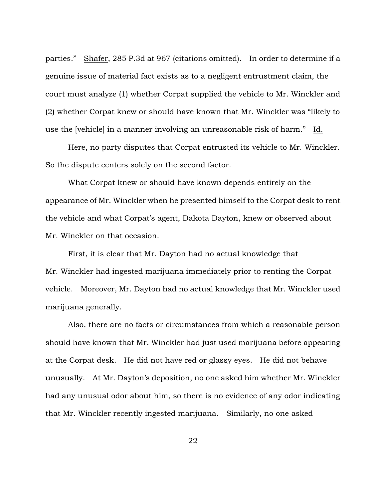parties." Shafer, 285 P.3d at 967 (citations omitted). In order to determine if a genuine issue of material fact exists as to a negligent entrustment claim, the court must analyze (1) whether Corpat supplied the vehicle to Mr. Winckler and (2) whether Corpat knew or should have known that Mr. Winckler was "likely to use the [vehicle] in a manner involving an unreasonable risk of harm." Id.

Here, no party disputes that Corpat entrusted its vehicle to Mr. Winckler. So the dispute centers solely on the second factor.

What Corpat knew or should have known depends entirely on the appearance of Mr. Winckler when he presented himself to the Corpat desk to rent the vehicle and what Corpat's agent, Dakota Dayton, knew or observed about Mr. Winckler on that occasion.

First, it is clear that Mr. Dayton had no actual knowledge that Mr. Winckler had ingested marijuana immediately prior to renting the Corpat vehicle. Moreover, Mr. Dayton had no actual knowledge that Mr. Winckler used marijuana generally.

Also, there are no facts or circumstances from which a reasonable person should have known that Mr. Winckler had just used marijuana before appearing at the Corpat desk. He did not have red or glassy eyes. He did not behave unusually. At Mr. Dayton's deposition, no one asked him whether Mr. Winckler had any unusual odor about him, so there is no evidence of any odor indicating that Mr. Winckler recently ingested marijuana. Similarly, no one asked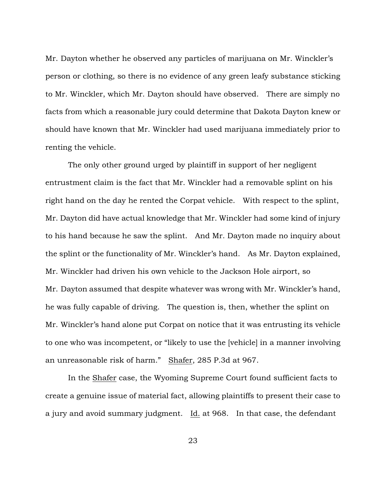Mr. Dayton whether he observed any particles of marijuana on Mr. Winckler's person or clothing, so there is no evidence of any green leafy substance sticking to Mr. Winckler, which Mr. Dayton should have observed. There are simply no facts from which a reasonable jury could determine that Dakota Dayton knew or should have known that Mr. Winckler had used marijuana immediately prior to renting the vehicle.

The only other ground urged by plaintiff in support of her negligent entrustment claim is the fact that Mr. Winckler had a removable splint on his right hand on the day he rented the Corpat vehicle. With respect to the splint, Mr. Dayton did have actual knowledge that Mr. Winckler had some kind of injury to his hand because he saw the splint. And Mr. Dayton made no inquiry about the splint or the functionality of Mr. Winckler's hand. As Mr. Dayton explained, Mr. Winckler had driven his own vehicle to the Jackson Hole airport, so Mr. Dayton assumed that despite whatever was wrong with Mr. Winckler's hand, he was fully capable of driving. The question is, then, whether the splint on Mr. Winckler's hand alone put Corpat on notice that it was entrusting its vehicle to one who was incompetent, or "likely to use the [vehicle] in a manner involving an unreasonable risk of harm." Shafer, 285 P.3d at 967.

In the Shafer case, the Wyoming Supreme Court found sufficient facts to create a genuine issue of material fact, allowing plaintiffs to present their case to a jury and avoid summary judgment. Id. at 968. In that case, the defendant

23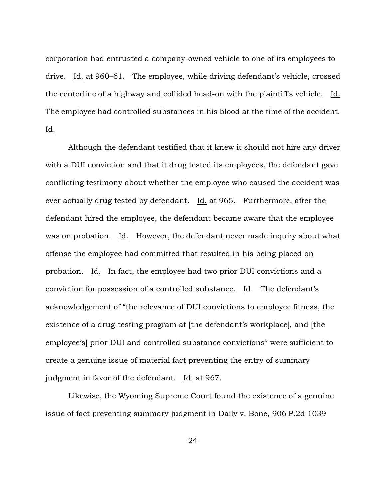corporation had entrusted a company-owned vehicle to one of its employees to drive. Id. at 960–61. The employee, while driving defendant's vehicle, crossed the centerline of a highway and collided head-on with the plaintiff's vehicle. Id. The employee had controlled substances in his blood at the time of the accident. Id.

Although the defendant testified that it knew it should not hire any driver with a DUI conviction and that it drug tested its employees, the defendant gave conflicting testimony about whether the employee who caused the accident was ever actually drug tested by defendant. Id. at 965. Furthermore, after the defendant hired the employee, the defendant became aware that the employee was on probation. Id. However, the defendant never made inquiry about what offense the employee had committed that resulted in his being placed on probation. Id. In fact, the employee had two prior DUI convictions and a conviction for possession of a controlled substance. Id. The defendant's acknowledgement of "the relevance of DUI convictions to employee fitness, the existence of a drug-testing program at [the defendant's workplace], and [the employee's] prior DUI and controlled substance convictions" were sufficient to create a genuine issue of material fact preventing the entry of summary judgment in favor of the defendant. Id. at 967.

Likewise, the Wyoming Supreme Court found the existence of a genuine issue of fact preventing summary judgment in Daily v. Bone, 906 P.2d 1039

24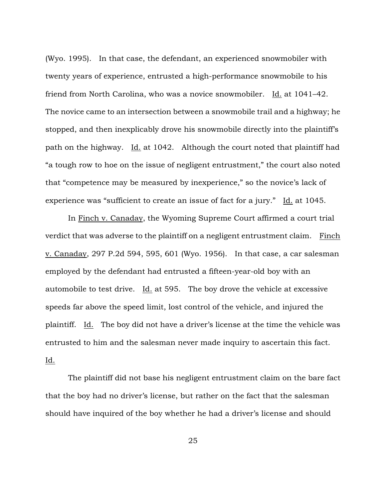(Wyo. 1995). In that case, the defendant, an experienced snowmobiler with twenty years of experience, entrusted a high-performance snowmobile to his friend from North Carolina, who was a novice snowmobiler. Id. at 1041–42. The novice came to an intersection between a snowmobile trail and a highway; he stopped, and then inexplicably drove his snowmobile directly into the plaintiff's path on the highway. Id. at 1042. Although the court noted that plaintiff had "a tough row to hoe on the issue of negligent entrustment," the court also noted that "competence may be measured by inexperience," so the novice's lack of experience was "sufficient to create an issue of fact for a jury." Id. at 1045.

In Finch v. Canaday, the Wyoming Supreme Court affirmed a court trial verdict that was adverse to the plaintiff on a negligent entrustment claim. Finch v. Canaday, 297 P.2d 594, 595, 601 (Wyo. 1956). In that case, a car salesman employed by the defendant had entrusted a fifteen-year-old boy with an automobile to test drive. Id. at 595. The boy drove the vehicle at excessive speeds far above the speed limit, lost control of the vehicle, and injured the plaintiff. Id. The boy did not have a driver's license at the time the vehicle was entrusted to him and the salesman never made inquiry to ascertain this fact. Id.

The plaintiff did not base his negligent entrustment claim on the bare fact that the boy had no driver's license, but rather on the fact that the salesman should have inquired of the boy whether he had a driver's license and should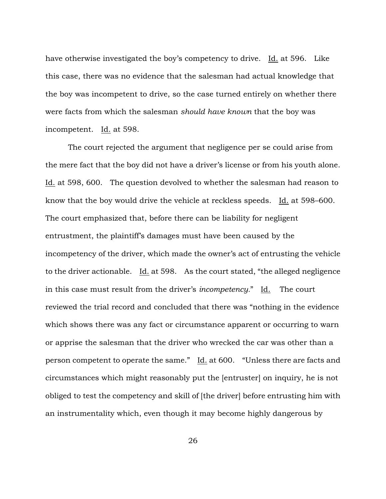have otherwise investigated the boy's competency to drive. Id. at 596. Like this case, there was no evidence that the salesman had actual knowledge that the boy was incompetent to drive, so the case turned entirely on whether there were facts from which the salesman *should have known* that the boy was incompetent. Id. at 598.

The court rejected the argument that negligence per se could arise from the mere fact that the boy did not have a driver's license or from his youth alone. Id. at 598, 600. The question devolved to whether the salesman had reason to know that the boy would drive the vehicle at reckless speeds. Id. at 598–600. The court emphasized that, before there can be liability for negligent entrustment, the plaintiff's damages must have been caused by the incompetency of the driver, which made the owner's act of entrusting the vehicle to the driver actionable. Id. at 598. As the court stated, "the alleged negligence in this case must result from the driver's *incompetency.*" Id. The court reviewed the trial record and concluded that there was "nothing in the evidence which shows there was any fact or circumstance apparent or occurring to warn or apprise the salesman that the driver who wrecked the car was other than a person competent to operate the same." Id. at 600. "Unless there are facts and circumstances which might reasonably put the [entruster] on inquiry, he is not obliged to test the competency and skill of [the driver] before entrusting him with an instrumentality which, even though it may become highly dangerous by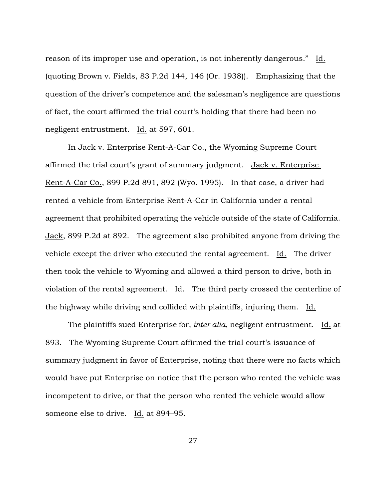reason of its improper use and operation, is not inherently dangerous." Id. (quoting Brown v. Fields, 83 P.2d 144, 146 (Or. 1938)). Emphasizing that the question of the driver's competence and the salesman's negligence are questions of fact, the court affirmed the trial court's holding that there had been no negligent entrustment. Id. at 597, 601.

In Jack v. Enterprise Rent-A-Car Co., the Wyoming Supreme Court affirmed the trial court's grant of summary judgment. Jack v. Enterprise Rent-A-Car Co., 899 P.2d 891, 892 (Wyo. 1995). In that case, a driver had rented a vehicle from Enterprise Rent-A-Car in California under a rental agreement that prohibited operating the vehicle outside of the state of California. Jack, 899 P.2d at 892. The agreement also prohibited anyone from driving the vehicle except the driver who executed the rental agreement. Id. The driver then took the vehicle to Wyoming and allowed a third person to drive, both in violation of the rental agreement.  $Id.$  The third party crossed the centerline of the highway while driving and collided with plaintiffs, injuring them. Id.

The plaintiffs sued Enterprise for, *inter alia*, negligent entrustment. Id. at 893. The Wyoming Supreme Court affirmed the trial court's issuance of summary judgment in favor of Enterprise, noting that there were no facts which would have put Enterprise on notice that the person who rented the vehicle was incompetent to drive, or that the person who rented the vehicle would allow someone else to drive. Id. at 894–95.

27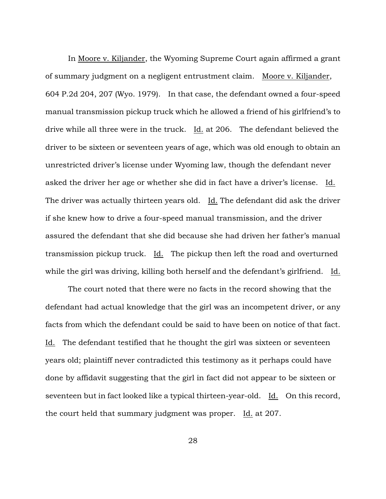In Moore v. Kiljander, the Wyoming Supreme Court again affirmed a grant of summary judgment on a negligent entrustment claim. Moore v. Kiljander, 604 P.2d 204, 207 (Wyo. 1979). In that case, the defendant owned a four-speed manual transmission pickup truck which he allowed a friend of his girlfriend's to drive while all three were in the truck. Id. at 206. The defendant believed the driver to be sixteen or seventeen years of age, which was old enough to obtain an unrestricted driver's license under Wyoming law, though the defendant never asked the driver her age or whether she did in fact have a driver's license. Id. The driver was actually thirteen years old. Id. The defendant did ask the driver if she knew how to drive a four-speed manual transmission, and the driver assured the defendant that she did because she had driven her father's manual transmission pickup truck. Id. The pickup then left the road and overturned while the girl was driving, killing both herself and the defendant's girlfriend. Id.

The court noted that there were no facts in the record showing that the defendant had actual knowledge that the girl was an incompetent driver, or any facts from which the defendant could be said to have been on notice of that fact. Id. The defendant testified that he thought the girl was sixteen or seventeen years old; plaintiff never contradicted this testimony as it perhaps could have done by affidavit suggesting that the girl in fact did not appear to be sixteen or seventeen but in fact looked like a typical thirteen-year-old. Id. On this record, the court held that summary judgment was proper. Id. at 207.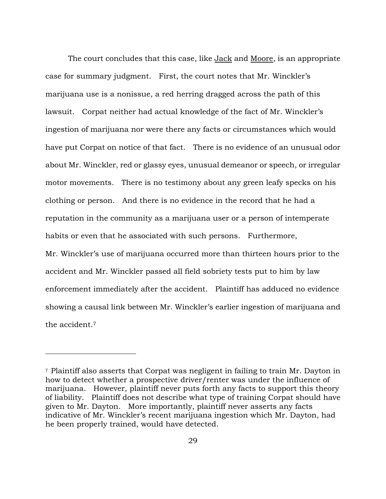The court concludes that this case, like Jack and Moore, is an appropriate case for summary judgment. First, the court notes that Mr. Winckler's marijuana use is a nonissue, a red herring dragged across the path of this lawsuit. Corpat neither had actual knowledge of the fact of Mr. Winckler's ingestion of marijuana nor were there any facts or circumstances which would have put Corpat on notice of that fact. There is no evidence of an unusual odor about Mr. Winckler, red or glassy eyes, unusual demeanor or speech, or irregular motor movements. There is no testimony about any green leafy specks on his clothing or person. And there is no evidence in the record that he had a reputation in the community as a marijuana user or a person of intemperate habits or even that he associated with such persons. Furthermore, Mr. Winckler's use of marijuana occurred more than thirteen hours prior to the accident and Mr. Winckler passed all field sobriety tests put to him by law enforcement immediately after the accident. Plaintiff has adduced no evidence showing a causal link between Mr. Winckler's earlier ingestion of marijuana and the accident.<sup>7</sup>

<sup>7</sup> Plaintiff also asserts that Corpat was negligent in failing to train Mr. Dayton in how to detect whether a prospective driver/renter was under the influence of marijuana. However, plaintiff never puts forth any facts to support this theory of liability. Plaintiff does not describe what type of training Corpat should have given to Mr. Dayton. More importantly, plaintiff never asserts any facts indicative of Mr. Winckler's recent marijuana ingestion which Mr. Dayton, had he been properly trained, would have detected.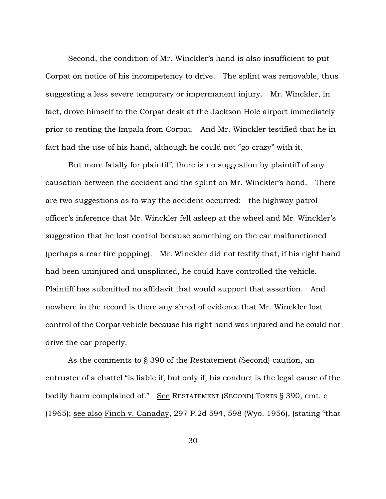Second, the condition of Mr. Winckler's hand is also insufficient to put Corpat on notice of his incompetency to drive. The splint was removable, thus suggesting a less severe temporary or impermanent injury. Mr. Winckler, in fact, drove himself to the Corpat desk at the Jackson Hole airport immediately prior to renting the Impala from Corpat. And Mr. Winckler testified that he in fact had the use of his hand, although he could not "go crazy" with it.

But more fatally for plaintiff, there is no suggestion by plaintiff of any causation between the accident and the splint on Mr. Winckler's hand. There are two suggestions as to why the accident occurred: the highway patrol officer's inference that Mr. Winckler fell asleep at the wheel and Mr. Winckler's suggestion that he lost control because something on the car malfunctioned (perhaps a rear tire popping). Mr. Winckler did not testify that, if his right hand had been uninjured and unsplinted, he could have controlled the vehicle. Plaintiff has submitted no affidavit that would support that assertion. And nowhere in the record is there any shred of evidence that Mr. Winckler lost control of the Corpat vehicle because his right hand was injured and he could not drive the car properly.

As the comments to § 390 of the Restatement (Second) caution, an entruster of a chattel "is liable if, but only if, his conduct is the legal cause of the bodily harm complained of." See RESTATEMENT (SECOND) TORTS § 390, cmt. c (1965); see also Finch v. Canaday, 297 P.2d 594, 598 (Wyo. 1956), (stating "that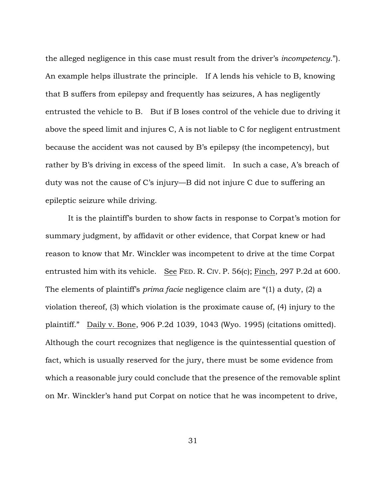the alleged negligence in this case must result from the driver's *incompetency*."). An example helps illustrate the principle. If A lends his vehicle to B, knowing that B suffers from epilepsy and frequently has seizures, A has negligently entrusted the vehicle to B. But if B loses control of the vehicle due to driving it above the speed limit and injures C, A is not liable to C for negligent entrustment because the accident was not caused by B's epilepsy (the incompetency), but rather by B's driving in excess of the speed limit. In such a case, A's breach of duty was not the cause of C's injury—B did not injure C due to suffering an epileptic seizure while driving.

It is the plaintiff's burden to show facts in response to Corpat's motion for summary judgment, by affidavit or other evidence, that Corpat knew or had reason to know that Mr. Winckler was incompetent to drive at the time Corpat entrusted him with its vehicle. See FED. R. CIV. P. 56(c); Finch, 297 P.2d at 600. The elements of plaintiff's *prima facie* negligence claim are "(1) a duty, (2) a violation thereof, (3) which violation is the proximate cause of, (4) injury to the plaintiff." Daily v. Bone, 906 P.2d 1039, 1043 (Wyo. 1995) (citations omitted). Although the court recognizes that negligence is the quintessential question of fact, which is usually reserved for the jury, there must be some evidence from which a reasonable jury could conclude that the presence of the removable splint on Mr. Winckler's hand put Corpat on notice that he was incompetent to drive,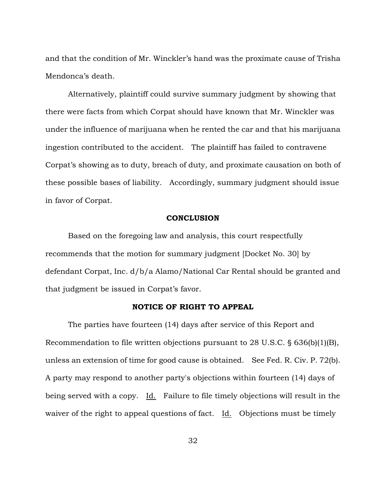and that the condition of Mr. Winckler's hand was the proximate cause of Trisha Mendonca's death.

Alternatively, plaintiff could survive summary judgment by showing that there were facts from which Corpat should have known that Mr. Winckler was under the influence of marijuana when he rented the car and that his marijuana ingestion contributed to the accident. The plaintiff has failed to contravene Corpat's showing as to duty, breach of duty, and proximate causation on both of these possible bases of liability. Accordingly, summary judgment should issue in favor of Corpat.

#### **CONCLUSION**

Based on the foregoing law and analysis, this court respectfully recommends that the motion for summary judgment [Docket No. 30] by defendant Corpat, Inc. d/b/a Alamo/National Car Rental should be granted and that judgment be issued in Corpat's favor.

## **NOTICE OF RIGHT TO APPEAL**

The parties have fourteen (14) days after service of this Report and Recommendation to file written objections pursuant to 28 U.S.C.  $\S$  636(b)(1)(B), unless an extension of time for good cause is obtained. See Fed. R. Civ. P. 72(b). A party may respond to another party's objections within fourteen (14) days of being served with a copy. Id. Failure to file timely objections will result in the waiver of the right to appeal questions of fact. Id. Objections must be timely